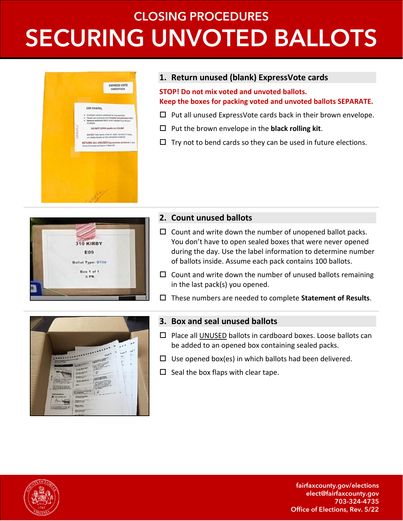## **CLOSING PROCEDURES SECURING UNVOTED BALLOTS**



#### **1. Return unused (blank) ExpressVote cards**

**STOP! Do not mix voted and unvoted ballots. Keep the boxes for packing voted and unvoted ballots SEPARATE.**

- $\square$  Put all unused ExpressVote cards back in their brown envelope.
- $\Box$  Put the brown envelope in the **black rolling kit**.
- $\Box$  Try not to bend cards so they can be used in future elections.



#### **2. Count unused ballots**

- $\Box$  Count and write down the number of unopened ballot packs. You don't have to open sealed boxes that were never opened during the day. Use the label information to determine number of ballots inside. Assume each pack contains 100 ballots.
- $\Box$  Count and write down the number of unused ballots remaining in the last pack(s) you opened.
- These numbers are needed to complete **Statement of Results**.



#### **3. Box and seal unused ballots**

- $\square$  Place all UNUSED ballots in cardboard boxes. Loose ballots can be added to an opened box containing sealed packs.
- $\Box$  Use opened box(es) in which ballots had been delivered.
- $\square$  Seal the box flaps with clear tape.



fairfaxcounty.gov/elections elect@fairfaxcounty.gov 703-324-4735 Office of Elections, Rev. 5/22